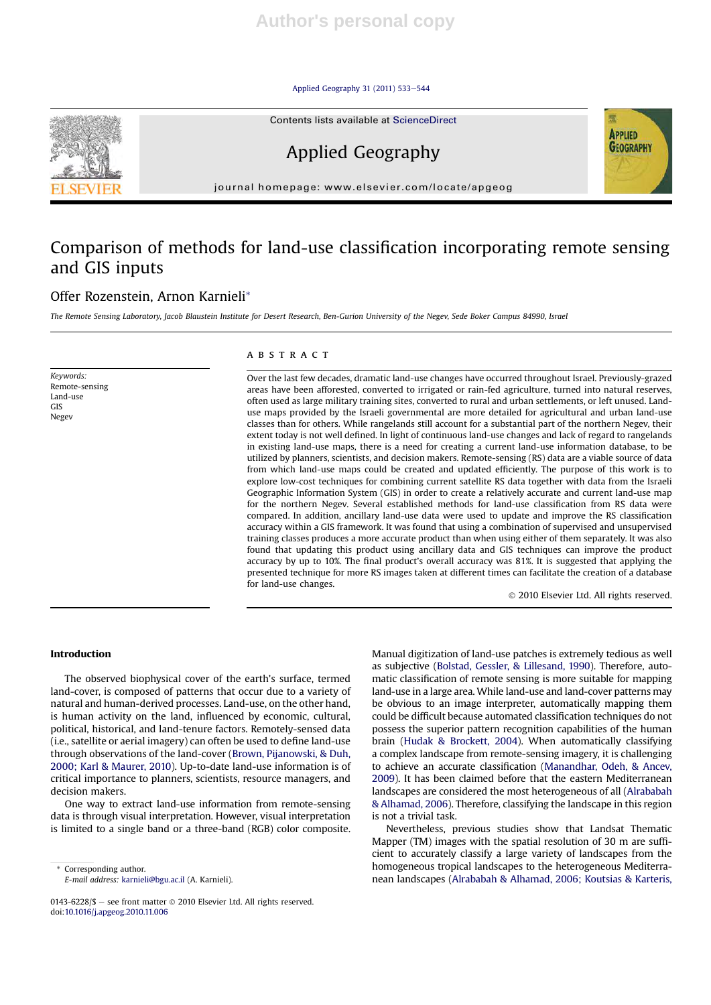#### Applied Geography 31  $(2011)$  533-544



# Applied Geography



journal homepage: www.elsevier.com/locate/apgeog

## Comparison of methods for land-use classification incorporating remote sensing and GIS inputs

### Offer Rozenstein, Arnon Karnieli\*

The Remote Sensing Laboratory, Jacob Blaustein Institute for Desert Research, Ben-Gurion University of the Negev, Sede Boker Campus 84990, Israel

Keywords: Remote-sensing Land-use GIS Negev

#### **ABSTRACT**

Over the last few decades, dramatic land-use changes have occurred throughout Israel. Previously-grazed areas have been afforested, converted to irrigated or rain-fed agriculture, turned into natural reserves, often used as large military training sites, converted to rural and urban settlements, or left unused. Landuse maps provided by the Israeli governmental are more detailed for agricultural and urban land-use classes than for others. While rangelands still account for a substantial part of the northern Negev, their extent today is not well defined. In light of continuous land-use changes and lack of regard to rangelands in existing land-use maps, there is a need for creating a current land-use information database, to be utilized by planners, scientists, and decision makers. Remote-sensing (RS) data are a viable source of data from which land-use maps could be created and updated efficiently. The purpose of this work is to explore low-cost techniques for combining current satellite RS data together with data from the Israeli Geographic Information System (GIS) in order to create a relatively accurate and current land-use map for the northern Negev. Several established methods for land-use classification from RS data were compared. In addition, ancillary land-use data were used to update and improve the RS classification accuracy within a GIS framework. It was found that using a combination of supervised and unsupervised training classes produces a more accurate product than when using either of them separately. It was also found that updating this product using ancillary data and GIS techniques can improve the product accuracy by up to 10%. The final product's overall accuracy was 81%. It is suggested that applying the presented technique for more RS images taken at different times can facilitate the creation of a database for land-use changes.

2010 Elsevier Ltd. All rights reserved.

### Introduction

The observed biophysical cover of the earth's surface, termed land-cover, is composed of patterns that occur due to a variety of natural and human-derived processes. Land-use, on the other hand, is human activity on the land, influenced by economic, cultural, political, historical, and land-tenure factors. Remotely-sensed data (i.e., satellite or aerial imagery) can often be used to define land-use through observations of the land-cover (Brown, Pijanowski, & Duh, 2000; Karl & Maurer, 2010). Up-to-date land-use information is of critical importance to planners, scientists, resource managers, and decision makers.

One way to extract land-use information from remote-sensing data is through visual interpretation. However, visual interpretation is limited to a single band or a three-band (RGB) color composite.

\* Corresponding author. E-mail address: karnieli@bgu.ac.il (A. Karnieli). Manual digitization of land-use patches is extremely tedious as well as subjective (Bolstad, Gessler, & Lillesand, 1990). Therefore, automatic classification of remote sensing is more suitable for mapping land-use in a large area. While land-use and land-cover patterns may be obvious to an image interpreter, automatically mapping them could be difficult because automated classification techniques do not possess the superior pattern recognition capabilities of the human brain (Hudak & Brockett, 2004). When automatically classifying a complex landscape from remote-sensing imagery, it is challenging to achieve an accurate classification (Manandhar, Odeh, & Ancev, 2009). It has been claimed before that the eastern Mediterranean landscapes are considered the most heterogeneous of all (Alrababah & Alhamad, 2006). Therefore, classifying the landscape in this region is not a trivial task.

Nevertheless, previous studies show that Landsat Thematic Mapper (TM) images with the spatial resolution of 30 m are sufficient to accurately classify a large variety of landscapes from the homogeneous tropical landscapes to the heterogeneous Mediterranean landscapes (Alrababah & Alhamad, 2006; Koutsias & Karteris,

<sup>0143-6228/\$ -</sup> see front matter  $\odot$  2010 Elsevier Ltd. All rights reserved. doi:10.1016/j.apgeog.2010.11.006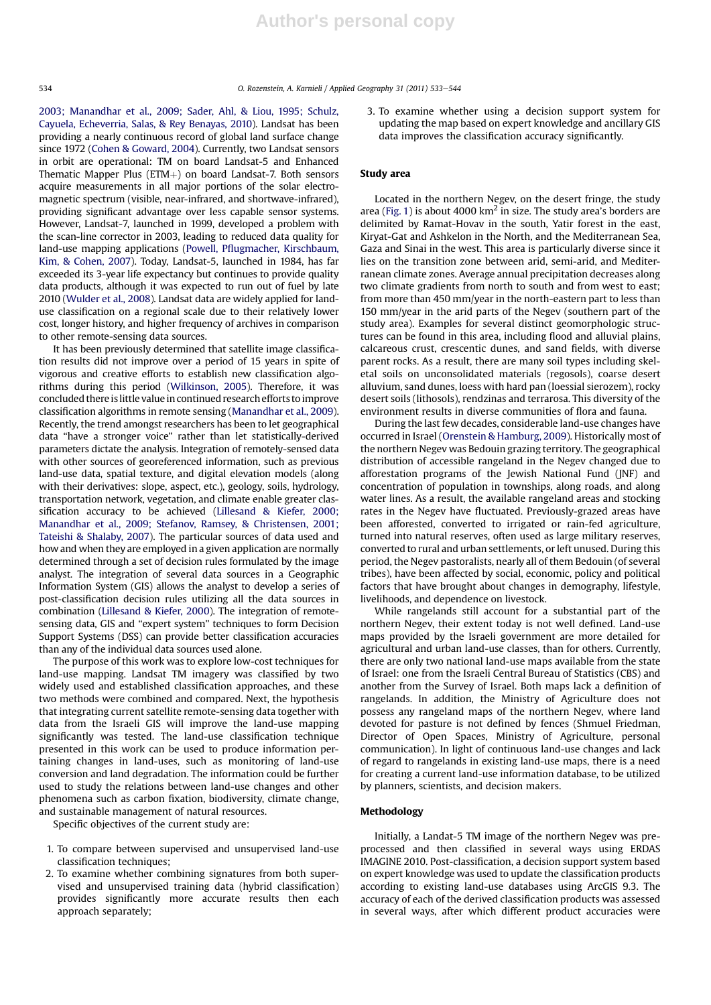534 **O. Rozenstein, A. Karnieli / Applied Geography 31 (2011) 533–544** 

2003; Manandhar et al., 2009; Sader, Ahl, & Liou, 1995; Schulz, Cayuela, Echeverria, Salas, & Rey Benayas, 2010). Landsat has been providing a nearly continuous record of global land surface change since 1972 (Cohen & Goward, 2004). Currently, two Landsat sensors in orbit are operational: TM on board Landsat-5 and Enhanced Thematic Mapper Plus ( $ETM+$ ) on board Landsat-7. Both sensors acquire measurements in all major portions of the solar electromagnetic spectrum (visible, near-infrared, and shortwave-infrared), providing significant advantage over less capable sensor systems. However, Landsat-7, launched in 1999, developed a problem with the scan-line corrector in 2003, leading to reduced data quality for land-use mapping applications (Powell, Pflugmacher, Kirschbaum, Kim, & Cohen, 2007). Today, Landsat-5, launched in 1984, has far exceeded its 3-year life expectancy but continues to provide quality data products, although it was expected to run out of fuel by late 2010 (Wulder et al., 2008). Landsat data are widely applied for landuse classification on a regional scale due to their relatively lower cost, longer history, and higher frequency of archives in comparison to other remote-sensing data sources.

It has been previously determined that satellite image classification results did not improve over a period of 15 years in spite of vigorous and creative efforts to establish new classification algorithms during this period (Wilkinson, 2005). Therefore, it was concluded there is little value in continued research efforts to improve classification algorithms in remote sensing (Manandhar et al., 2009). Recently, the trend amongst researchers has been to let geographical data "have a stronger voice" rather than let statistically-derived parameters dictate the analysis. Integration of remotely-sensed data with other sources of georeferenced information, such as previous land-use data, spatial texture, and digital elevation models (along with their derivatives: slope, aspect, etc.), geology, soils, hydrology, transportation network, vegetation, and climate enable greater classification accuracy to be achieved (Lillesand & Kiefer, 2000; Manandhar et al., 2009; Stefanov, Ramsey, & Christensen, 2001; Tateishi & Shalaby, 2007). The particular sources of data used and how and when they are employed in a given application are normally determined through a set of decision rules formulated by the image analyst. The integration of several data sources in a Geographic Information System (GIS) allows the analyst to develop a series of post-classification decision rules utilizing all the data sources in combination (Lillesand & Kiefer, 2000). The integration of remotesensing data, GIS and "expert system" techniques to form Decision Support Systems (DSS) can provide better classification accuracies than any of the individual data sources used alone.

The purpose of this work was to explore low-cost techniques for land-use mapping. Landsat TM imagery was classified by two widely used and established classification approaches, and these two methods were combined and compared. Next, the hypothesis that integrating current satellite remote-sensing data together with data from the Israeli GIS will improve the land-use mapping significantly was tested. The land-use classification technique presented in this work can be used to produce information pertaining changes in land-uses, such as monitoring of land-use conversion and land degradation. The information could be further used to study the relations between land-use changes and other phenomena such as carbon fixation, biodiversity, climate change, and sustainable management of natural resources.

Specific objectives of the current study are:

- 1. To compare between supervised and unsupervised land-use classification techniques;
- 2. To examine whether combining signatures from both supervised and unsupervised training data (hybrid classification) provides significantly more accurate results then each approach separately;

3. To examine whether using a decision support system for updating the map based on expert knowledge and ancillary GIS data improves the classification accuracy significantly.

#### Study area

Located in the northern Negev, on the desert fringe, the study area (Fig. 1) is about 4000 km<sup>2</sup> in size. The study area's borders are delimited by Ramat-Hovav in the south, Yatir forest in the east, Kiryat-Gat and Ashkelon in the North, and the Mediterranean Sea, Gaza and Sinai in the west. This area is particularly diverse since it lies on the transition zone between arid, semi-arid, and Mediterranean climate zones. Average annual precipitation decreases along two climate gradients from north to south and from west to east; from more than 450 mm/year in the north-eastern part to less than 150 mm/year in the arid parts of the Negev (southern part of the study area). Examples for several distinct geomorphologic structures can be found in this area, including flood and alluvial plains, calcareous crust, crescentic dunes, and sand fields, with diverse parent rocks. As a result, there are many soil types including skeletal soils on unconsolidated materials (regosols), coarse desert alluvium, sand dunes, loess with hard pan (loessial sierozem), rocky desert soils (lithosols), rendzinas and terrarosa. This diversity of the environment results in diverse communities of flora and fauna.

During the last few decades, considerable land-use changes have occurred in Israel (Orenstein & Hamburg, 2009). Historically most of the northern Negev was Bedouin grazing territory. The geographical distribution of accessible rangeland in the Negev changed due to afforestation programs of the Jewish National Fund (JNF) and concentration of population in townships, along roads, and along water lines. As a result, the available rangeland areas and stocking rates in the Negev have fluctuated. Previously-grazed areas have been afforested, converted to irrigated or rain-fed agriculture, turned into natural reserves, often used as large military reserves, converted to rural and urban settlements, or left unused. During this period, the Negev pastoralists, nearly all of them Bedouin (of several tribes), have been affected by social, economic, policy and political factors that have brought about changes in demography, lifestyle, livelihoods, and dependence on livestock.

While rangelands still account for a substantial part of the northern Negev, their extent today is not well defined. Land-use maps provided by the Israeli government are more detailed for agricultural and urban land-use classes, than for others. Currently, there are only two national land-use maps available from the state of Israel: one from the Israeli Central Bureau of Statistics (CBS) and another from the Survey of Israel. Both maps lack a definition of rangelands. In addition, the Ministry of Agriculture does not possess any rangeland maps of the northern Negev, where land devoted for pasture is not defined by fences (Shmuel Friedman, Director of Open Spaces, Ministry of Agriculture, personal communication). In light of continuous land-use changes and lack of regard to rangelands in existing land-use maps, there is a need for creating a current land-use information database, to be utilized by planners, scientists, and decision makers.

#### Methodology

Initially, a Landat-5 TM image of the northern Negev was preprocessed and then classified in several ways using ERDAS IMAGINE 2010. Post-classification, a decision support system based on expert knowledge was used to update the classification products according to existing land-use databases using ArcGIS 9.3. The accuracy of each of the derived classification products was assessed in several ways, after which different product accuracies were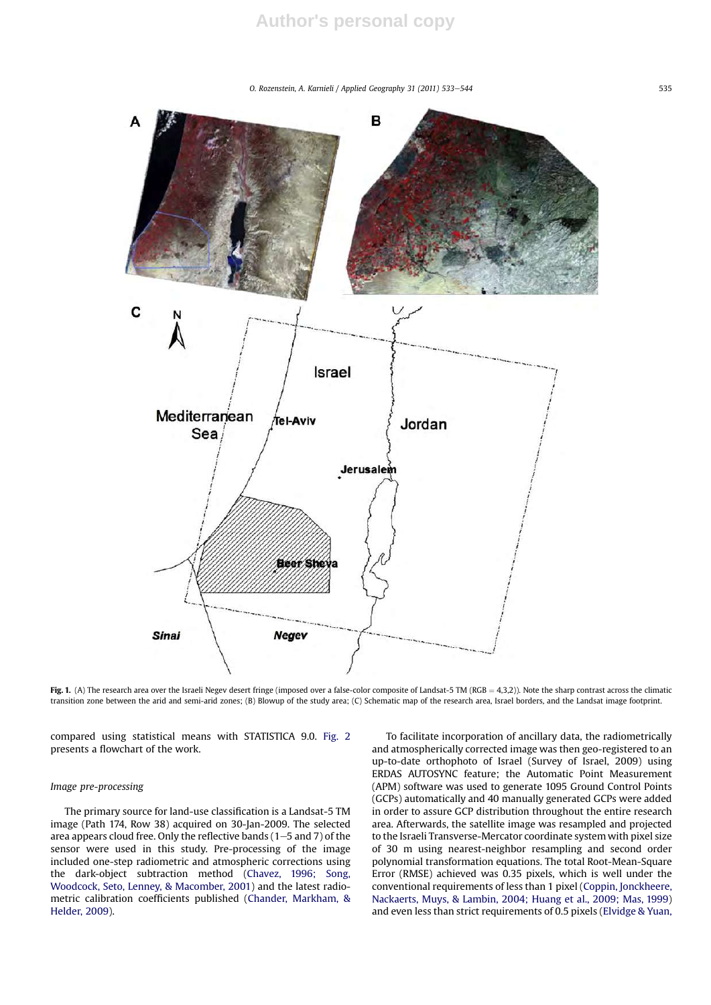O. Rozenstein, A. Karnieli / Applied Geography 31 (2011) 533–544 535



Fig. 1. (A) The research area over the Israeli Negev desert fringe (imposed over a false-color composite of Landsat-5 TM (RGB = 4,3,2)). Note the sharp contrast across the climatic transition zone between the arid and semi-arid zones; (B) Blowup of the study area; (C) Schematic map of the research area, Israel borders, and the Landsat image footprint.

compared using statistical means with STATISTICA 9.0. Fig. 2 presents a flowchart of the work.

#### Image pre-processing

The primary source for land-use classification is a Landsat-5 TM image (Path 174, Row 38) acquired on 30-Jan-2009. The selected area appears cloud free. Only the reflective bands  $(1–5$  and  $7)$  of the sensor were used in this study. Pre-processing of the image included one-step radiometric and atmospheric corrections using the dark-object subtraction method (Chavez, 1996; Song, Woodcock, Seto, Lenney, & Macomber, 2001) and the latest radiometric calibration coefficients published (Chander, Markham, & Helder, 2009).

To facilitate incorporation of ancillary data, the radiometrically and atmospherically corrected image was then geo-registered to an up-to-date orthophoto of Israel (Survey of Israel, 2009) using ERDAS AUTOSYNC feature; the Automatic Point Measurement (APM) software was used to generate 1095 Ground Control Points (GCPs) automatically and 40 manually generated GCPs were added in order to assure GCP distribution throughout the entire research area. Afterwards, the satellite image was resampled and projected to the Israeli Transverse-Mercator coordinate system with pixel size of 30 m using nearest-neighbor resampling and second order polynomial transformation equations. The total Root-Mean-Square Error (RMSE) achieved was 0.35 pixels, which is well under the conventional requirements of less than 1 pixel (Coppin, Jonckheere, Nackaerts, Muys, & Lambin, 2004; Huang et al., 2009; Mas, 1999) and even less than strict requirements of 0.5 pixels (Elvidge & Yuan,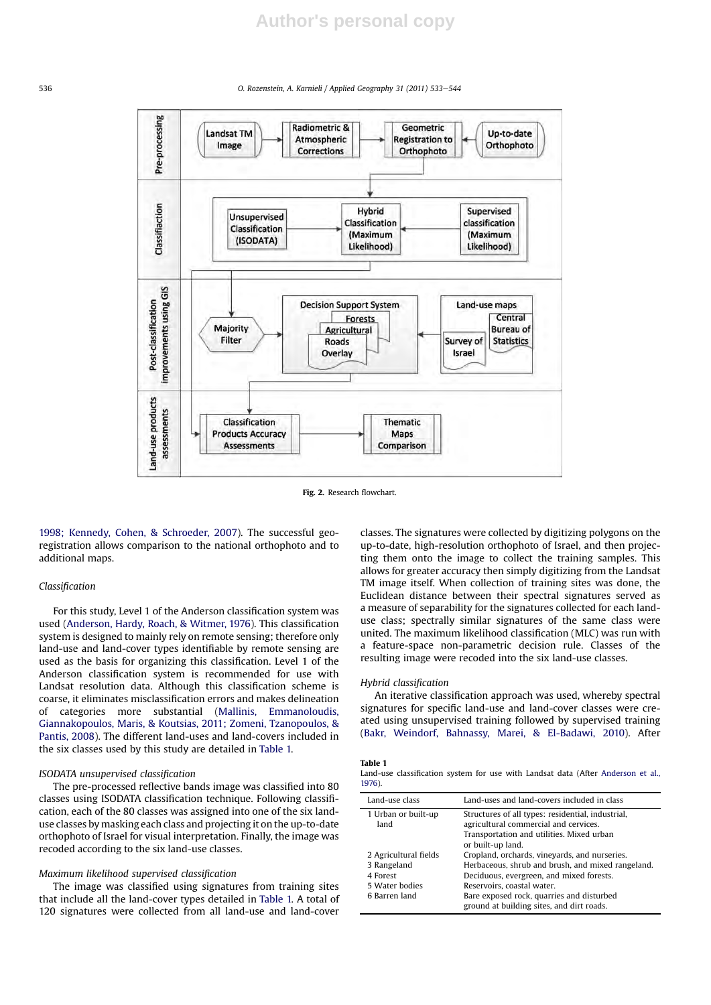536 536 O. Rozenstein, A. Karnieli / Applied Geography 31 (2011) 533–544



Fig. 2. Research flowchart.

1998; Kennedy, Cohen, & Schroeder, 2007). The successful georegistration allows comparison to the national orthophoto and to additional maps.

#### Classification

For this study, Level 1 of the Anderson classification system was used (Anderson, Hardy, Roach, & Witmer, 1976). This classification system is designed to mainly rely on remote sensing; therefore only land-use and land-cover types identifiable by remote sensing are used as the basis for organizing this classification. Level 1 of the Anderson classification system is recommended for use with Landsat resolution data. Although this classification scheme is coarse, it eliminates misclassification errors and makes delineation of categories more substantial (Mallinis, Emmanoloudis, Giannakopoulos, Maris, & Koutsias, 2011; Zomeni, Tzanopoulos, & Pantis, 2008). The different land-uses and land-covers included in the six classes used by this study are detailed in Table 1.

#### ISODATA unsupervised classification

The pre-processed reflective bands image was classified into 80 classes using ISODATA classification technique. Following classification, each of the 80 classes was assigned into one of the six landuse classes by masking each class and projecting it on the up-to-date orthophoto of Israel for visual interpretation. Finally, the image was recoded according to the six land-use classes.

#### Maximum likelihood supervised classification

The image was classified using signatures from training sites that include all the land-cover types detailed in Table 1. A total of 120 signatures were collected from all land-use and land-cover classes. The signatures were collected by digitizing polygons on the up-to-date, high-resolution orthophoto of Israel, and then projecting them onto the image to collect the training samples. This allows for greater accuracy then simply digitizing from the Landsat TM image itself. When collection of training sites was done, the Euclidean distance between their spectral signatures served as a measure of separability for the signatures collected for each landuse class; spectrally similar signatures of the same class were united. The maximum likelihood classification (MLC) was run with a feature-space non-parametric decision rule. Classes of the resulting image were recoded into the six land-use classes.

#### Hybrid classification

An iterative classification approach was used, whereby spectral signatures for specific land-use and land-cover classes were created using unsupervised training followed by supervised training (Bakr, Weindorf, Bahnassy, Marei, & El-Badawi, 2010). After

Land-use classification system for use with Landsat data (After Anderson et al., 1976).

| Land-use class              | Land-uses and land-covers included in class                                                                                             |
|-----------------------------|-----------------------------------------------------------------------------------------------------------------------------------------|
| 1 Urban or built-up<br>land | Structures of all types: residential, industrial,<br>agricultural commercial and cervices.<br>Transportation and utilities. Mixed urban |
|                             | or built-up land.                                                                                                                       |
| 2 Agricultural fields       | Cropland, orchards, vineyards, and nurseries.                                                                                           |
| 3 Rangeland                 | Herbaceous, shrub and brush, and mixed rangeland.                                                                                       |
| 4 Forest                    | Deciduous, evergreen, and mixed forests.                                                                                                |
| 5 Water bodies              | Reservoirs, coastal water.                                                                                                              |
| 6 Barren land               | Bare exposed rock, quarries and disturbed<br>ground at building sites, and dirt roads.                                                  |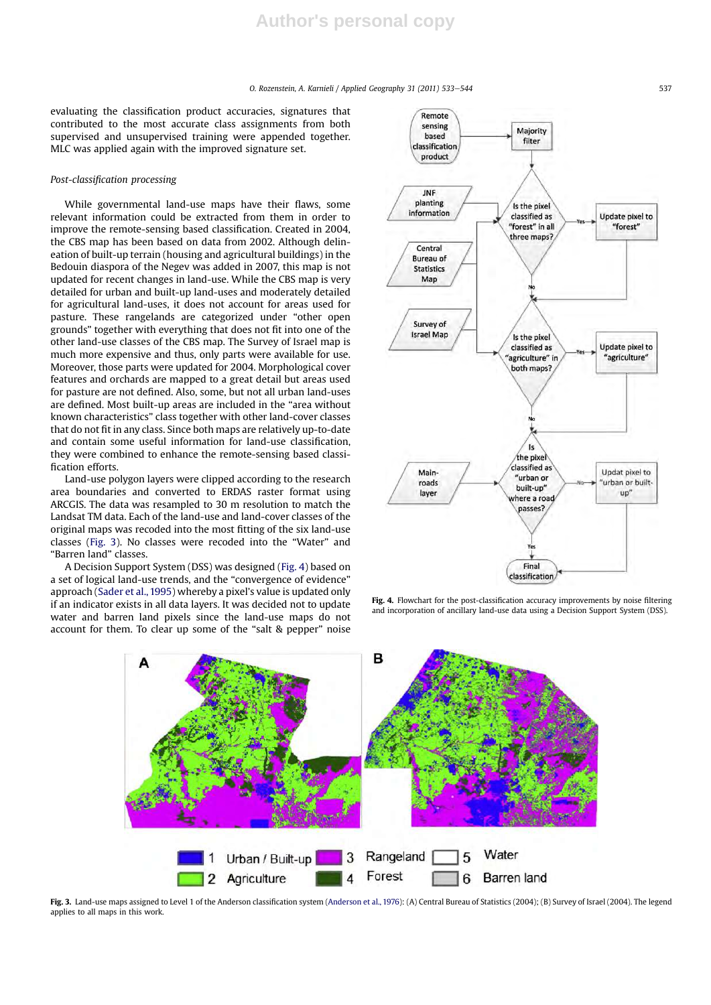evaluating the classification product accuracies, signatures that contributed to the most accurate class assignments from both supervised and unsupervised training were appended together. MLC was applied again with the improved signature set.

#### Post-classification processing

While governmental land-use maps have their flaws, some relevant information could be extracted from them in order to improve the remote-sensing based classification. Created in 2004, the CBS map has been based on data from 2002. Although delineation of built-up terrain (housing and agricultural buildings) in the Bedouin diaspora of the Negev was added in 2007, this map is not updated for recent changes in land-use. While the CBS map is very detailed for urban and built-up land-uses and moderately detailed for agricultural land-uses, it does not account for areas used for pasture. These rangelands are categorized under "other open grounds" together with everything that does not fit into one of the other land-use classes of the CBS map. The Survey of Israel map is much more expensive and thus, only parts were available for use. Moreover, those parts were updated for 2004. Morphological cover features and orchards are mapped to a great detail but areas used for pasture are not defined. Also, some, but not all urban land-uses are defined. Most built-up areas are included in the "area without known characteristics" class together with other land-cover classes that do not fit in any class. Since both maps are relatively up-to-date and contain some useful information for land-use classification, they were combined to enhance the remote-sensing based classification efforts.

Land-use polygon layers were clipped according to the research area boundaries and converted to ERDAS raster format using ARCGIS. The data was resampled to 30 m resolution to match the Landsat TM data. Each of the land-use and land-cover classes of the original maps was recoded into the most fitting of the six land-use classes (Fig. 3). No classes were recoded into the "Water" and "Barren land" classes.

A Decision Support System (DSS) was designed (Fig. 4) based on a set of logical land-use trends, and the "convergence of evidence" approach (Sader et al., 1995) whereby a pixel's value is updated only if an indicator exists in all data layers. It was decided not to update water and barren land pixels since the land-use maps do not account for them. To clear up some of the "salt & pepper" noise



Fig. 4. Flowchart for the post-classification accuracy improvements by noise filtering and incorporation of ancillary land-use data using a Decision Support System (DSS).



Fig. 3. Land-use maps assigned to Level 1 of the Anderson classification system (Anderson et al., 1976): (A) Central Bureau of Statistics (2004); (B) Survey of Israel (2004). The legend applies to all maps in this work.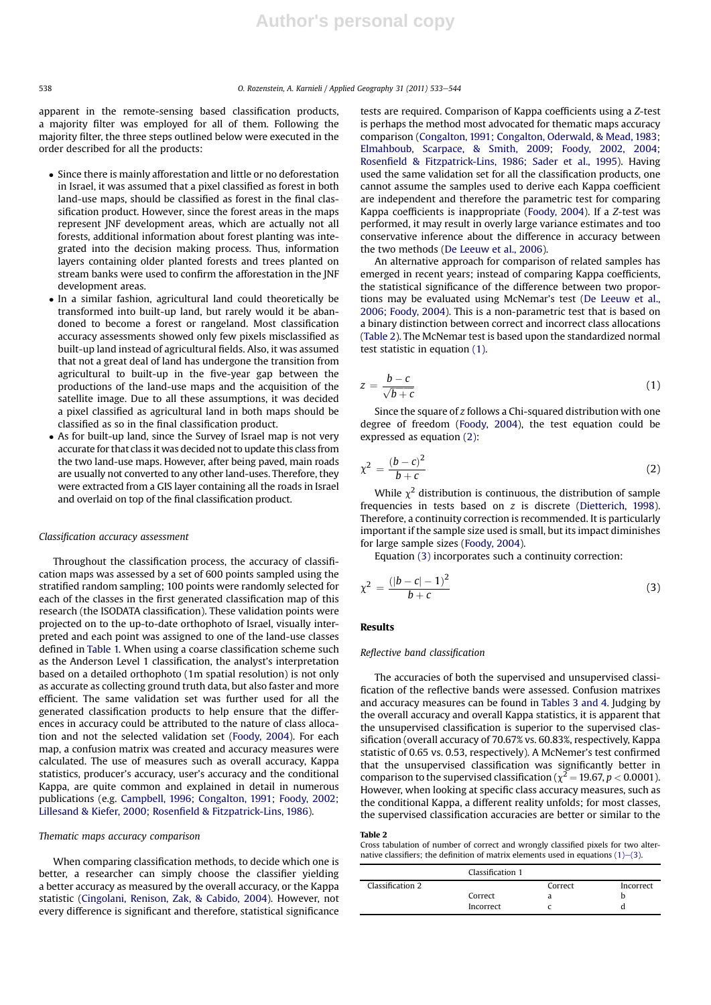apparent in the remote-sensing based classification products, a majority filter was employed for all of them. Following the majority filter, the three steps outlined below were executed in the order described for all the products:

- Since there is mainly afforestation and little or no deforestation in Israel, it was assumed that a pixel classified as forest in both land-use maps, should be classified as forest in the final classification product. However, since the forest areas in the maps represent JNF development areas, which are actually not all forests, additional information about forest planting was integrated into the decision making process. Thus, information layers containing older planted forests and trees planted on stream banks were used to confirm the afforestation in the JNF development areas.
- In a similar fashion, agricultural land could theoretically be transformed into built-up land, but rarely would it be abandoned to become a forest or rangeland. Most classification accuracy assessments showed only few pixels misclassified as built-up land instead of agricultural fields. Also, it was assumed that not a great deal of land has undergone the transition from agricultural to built-up in the five-year gap between the productions of the land-use maps and the acquisition of the satellite image. Due to all these assumptions, it was decided a pixel classified as agricultural land in both maps should be classified as so in the final classification product.
- As for built-up land, since the Survey of Israel map is not very accurate for that class it was decided not to update this class from the two land-use maps. However, after being paved, main roads are usually not converted to any other land-uses. Therefore, they were extracted from a GIS layer containing all the roads in Israel and overlaid on top of the final classification product.

#### Classification accuracy assessment

Throughout the classification process, the accuracy of classification maps was assessed by a set of 600 points sampled using the stratified random sampling; 100 points were randomly selected for each of the classes in the first generated classification map of this research (the ISODATA classification). These validation points were projected on to the up-to-date orthophoto of Israel, visually interpreted and each point was assigned to one of the land-use classes defined in Table 1. When using a coarse classification scheme such as the Anderson Level 1 classification, the analyst's interpretation based on a detailed orthophoto (1m spatial resolution) is not only as accurate as collecting ground truth data, but also faster and more efficient. The same validation set was further used for all the generated classification products to help ensure that the differences in accuracy could be attributed to the nature of class allocation and not the selected validation set (Foody, 2004). For each map, a confusion matrix was created and accuracy measures were calculated. The use of measures such as overall accuracy, Kappa statistics, producer's accuracy, user's accuracy and the conditional Kappa, are quite common and explained in detail in numerous publications (e.g. Campbell, 1996; Congalton, 1991; Foody, 2002; Lillesand & Kiefer, 2000; Rosenfield & Fitzpatrick-Lins, 1986).

#### Thematic maps accuracy comparison

When comparing classification methods, to decide which one is better, a researcher can simply choose the classifier yielding a better accuracy as measured by the overall accuracy, or the Kappa statistic (Cingolani, Renison, Zak, & Cabido, 2004). However, not every difference is significant and therefore, statistical significance tests are required. Comparison of Kappa coefficients using a Z-test is perhaps the method most advocated for thematic maps accuracy comparison (Congalton, 1991; Congalton, Oderwald, & Mead, 1983; Elmahboub, Scarpace, & Smith, 2009; Foody, 2002, 2004; Rosenfield & Fitzpatrick-Lins, 1986; Sader et al., 1995). Having used the same validation set for all the classification products, one cannot assume the samples used to derive each Kappa coefficient are independent and therefore the parametric test for comparing Kappa coefficients is inappropriate (Foody, 2004). If a Z-test was performed, it may result in overly large variance estimates and too conservative inference about the difference in accuracy between the two methods (De Leeuw et al., 2006).

An alternative approach for comparison of related samples has emerged in recent years; instead of comparing Kappa coefficients, the statistical significance of the difference between two proportions may be evaluated using McNemar's test (De Leeuw et al., 2006; Foody, 2004). This is a non-parametric test that is based on a binary distinction between correct and incorrect class allocations (Table 2). The McNemar test is based upon the standardized normal test statistic in equation (1).

$$
z = \frac{b - c}{\sqrt{b + c}}\tag{1}
$$

Since the square of z follows a Chi-squared distribution with one degree of freedom (Foody, 2004), the test equation could be expressed as equation (2):

$$
\chi^2 = \frac{(b-c)^2}{b+c} \tag{2}
$$

While  $\chi^2$  distribution is continuous, the distribution of sample frequencies in tests based on  $z$  is discrete (Dietterich, 1998). Therefore, a continuity correction is recommended. It is particularly important if the sample size used is small, but its impact diminishes for large sample sizes (Foody, 2004).

Equation (3) incorporates such a continuity correction:

$$
\chi^2 = \frac{(|b - c| - 1)^2}{b + c} \tag{3}
$$

#### Results

#### Reflective band classification

The accuracies of both the supervised and unsupervised classification of the reflective bands were assessed. Confusion matrixes and accuracy measures can be found in Tables 3 and 4. Judging by the overall accuracy and overall Kappa statistics, it is apparent that the unsupervised classification is superior to the supervised classification (overall accuracy of 70.67% vs. 60.83%, respectively, Kappa statistic of 0.65 vs. 0.53, respectively). A McNemer's test confirmed that the unsupervised classification was significantly better in comparison to the supervised classification ( $\chi^2$  = 19.67, p < 0.0001). However, when looking at specific class accuracy measures, such as the conditional Kappa, a different reality unfolds; for most classes, the supervised classification accuracies are better or similar to the

#### Table 2

Cross tabulation of number of correct and wrongly classified pixels for two alternative classifiers; the definition of matrix elements used in equations  $(1)$ – $(3)$ .

|                  | Classification 1 |         |           |
|------------------|------------------|---------|-----------|
| Classification 2 |                  | Correct | Incorrect |
|                  | Correct          |         |           |
|                  | Incorrect        |         |           |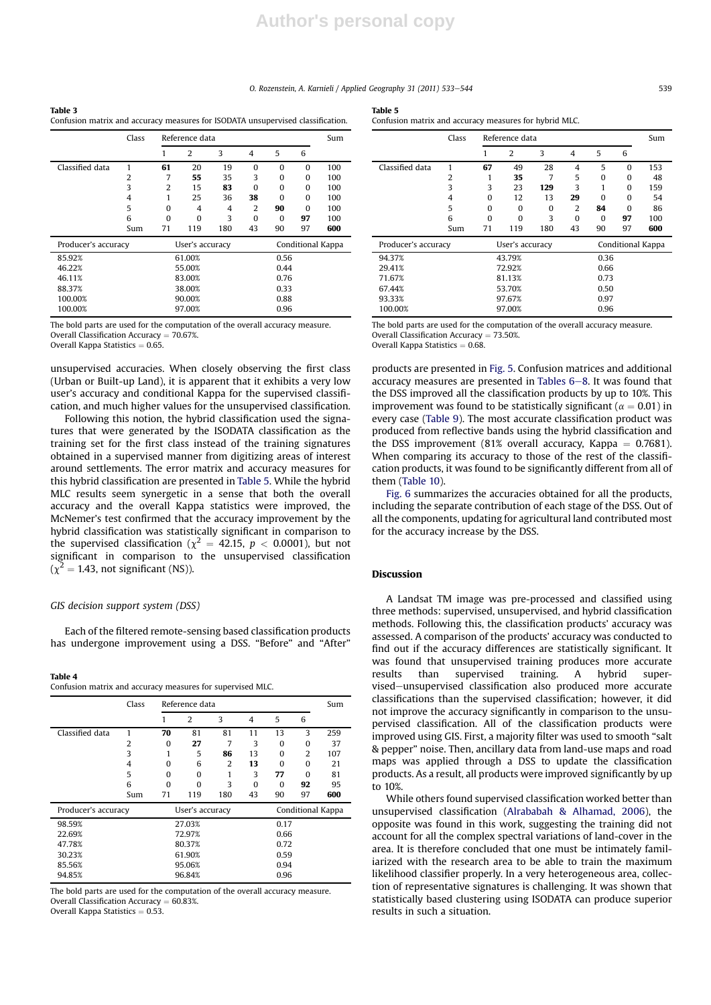$\Omega$  Rozenstein, A. Karnieli / Applied Geography 31 (2011) 533–544  $\sim$  539

|                     | Class | Reference data |                 |     |          |          | Sum      |                   |
|---------------------|-------|----------------|-----------------|-----|----------|----------|----------|-------------------|
|                     |       | 1              | $\overline{2}$  | 3   | 4        | 5        | 6        |                   |
| Classified data     | 1     | 61             | 20              | 19  | $\Omega$ | $\Omega$ | $\Omega$ | 100               |
|                     | 2     | 7              | 55              | 35  | 3        | $\Omega$ | $\Omega$ | 100               |
|                     | 3     | 2              | 15              | 83  | $\Omega$ | O        | 0        | 100               |
|                     | 4     | 1              | 25              | 36  | 38       | $\Omega$ | $\Omega$ | 100               |
|                     | 5     | 0              | 4               | 4   | 2        | 90       | $\Omega$ | 100               |
|                     | 6     | O              | $\Omega$        | 3   | $\Omega$ | $\Omega$ | 97       | 100               |
|                     | Sum   | 71             | 119             | 180 | 43       | 90       | 97       | 600               |
| Producer's accuracy |       |                | User's accuracy |     |          |          |          | Conditional Kappa |
| 85.92%              |       |                | 61.00%          |     |          | 0.56     |          |                   |
| 46.22%              |       |                | 55.00%          |     |          | 0.44     |          |                   |
| 46.11%              |       |                | 83.00%          |     |          | 0.76     |          |                   |
| 88.37%              |       |                | 38.00%          |     |          | 0.33     |          |                   |
| 100.00%             |       |                | 90.00%          |     |          | 0.88     |          |                   |
| 100.00%             |       |                | 97.00%          |     |          | 0.96     |          |                   |
|                     |       |                |                 |     |          |          |          |                   |

Table 3 Confusion matrix and accuracy measures for ISODATA unsupervised classification.

The bold parts are used for the computation of the overall accuracy measure. Overall Classification Accuracy =  $70.67%$ .

Overall Kappa Statistics  $= 0.65$ .

unsupervised accuracies. When closely observing the first class (Urban or Built-up Land), it is apparent that it exhibits a very low user's accuracy and conditional Kappa for the supervised classification, and much higher values for the unsupervised classification.

Following this notion, the hybrid classification used the signatures that were generated by the ISODATA classification as the training set for the first class instead of the training signatures obtained in a supervised manner from digitizing areas of interest around settlements. The error matrix and accuracy measures for this hybrid classification are presented in Table 5. While the hybrid MLC results seem synergetic in a sense that both the overall accuracy and the overall Kappa statistics were improved, the McNemer's test confirmed that the accuracy improvement by the hybrid classification was statistically significant in comparison to the supervised classification ( $\chi^2$  = 42.15, p < 0.0001), but not significant in comparison to the unsupervised classification  $(\chi^2 = 1.43$ , not significant (NS)).

#### GIS decision support system (DSS)

Each of the filtered remote-sensing based classification products has undergone improvement using a DSS. "Before" and "After"

Table 4

|                     | Class | Reference data |                 |                |                | Sum      |                   |     |
|---------------------|-------|----------------|-----------------|----------------|----------------|----------|-------------------|-----|
|                     |       | 1              | $\overline{2}$  | 3              | $\overline{4}$ | 5        | 6                 |     |
| Classified data     | 1     | 70             | 81              | 81             | 11             | 13       | 3                 | 259 |
|                     | 2     | $\Omega$       | 27              | 7              | 3              | $\Omega$ | $\Omega$          | 37  |
|                     | 3     |                | 5               | 86             | 13             | $\Omega$ | 2                 | 107 |
|                     | 4     | $\Omega$       | 6               | $\overline{2}$ | 13             | $\Omega$ | $\Omega$          | 21  |
|                     | 5     | $\Omega$       | $\Omega$        |                | 3              | 77       | O                 | 81  |
|                     | 6     | $\Omega$       | $\Omega$        | 3              | $\Omega$       | $\Omega$ | 92                | 95  |
|                     | Sum   | 71             | 119             | 180            | 43             | 90       | 97                | 600 |
| Producer's accuracy |       |                | User's accuracy |                |                |          | Conditional Kappa |     |
| 98.59%              |       |                | 27.03%          |                |                | 0.17     |                   |     |
| 22.69%              |       |                | 72.97%          |                |                | 0.66     |                   |     |
| 47.78%              |       |                | 80.37%          |                |                | 0.72     |                   |     |
| 30.23%              |       |                | 61.90%          |                |                | 0.59     |                   |     |
| 85.56%              |       |                | 95.06%          |                |                | 0.94     |                   |     |
| 94.85%              |       |                | 96.84%          |                |                | 0.96     |                   |     |

The bold parts are used for the computation of the overall accuracy measure. Overall Classification Accuracy  $= 60.83%$ . Overall Kappa Statistics  $= 0.53$ .

| ı<br>п<br>12<br>ı<br>. . |
|--------------------------|
|                          |

Confusion matrix and accuracy measures for hybrid MLC.

|                     | Class |          | Reference data  |          |          |          |                   | Sum |
|---------------------|-------|----------|-----------------|----------|----------|----------|-------------------|-----|
|                     |       | 1        | 2               | 3        | 4        | 5        | 6                 |     |
| Classified data     | 1     | 67       | 49              | 28       | 4        | 5        | $\Omega$          | 153 |
|                     | 2     |          | 35              | 7        | 5        | $\Omega$ | $\Omega$          | 48  |
|                     | 3     | 3        | 23              | 129      | 3        | 1        | $\Omega$          | 159 |
|                     | 4     | $\Omega$ | 12              | 13       | 29       | $\Omega$ | $\Omega$          | 54  |
|                     | 5     | $\Omega$ | 0               | $\Omega$ | 2        | 84       | $\Omega$          | 86  |
|                     | 6     | $\Omega$ | O               | 3        | $\Omega$ | $\Omega$ | 97                | 100 |
|                     | Sum   | 71       | 119             | 180      | 43       | 90       | 97                | 600 |
| Producer's accuracy |       |          | User's accuracy |          |          |          | Conditional Kappa |     |
| 94.37%              |       |          | 43.79%          |          |          | 0.36     |                   |     |
| 29.41%              |       |          | 72.92%          |          |          | 0.66     |                   |     |
| 71.67%              |       |          | 81.13%          |          |          | 0.73     |                   |     |
| 67.44%              |       |          | 53.70%          |          |          | 0.50     |                   |     |
| 93.33%              |       |          | 97.67%          |          |          | 0.97     |                   |     |
| 100.00%             |       |          | 97.00%          |          |          | 0.96     |                   |     |

The bold parts are used for the computation of the overall accuracy measure. Overall Classification Accuracy =  $73.50%$ .

Overall Kappa Statistics  $= 0.68$ .

products are presented in Fig. 5. Confusion matrices and additional accuracy measures are presented in Tables  $6-8$ . It was found that the DSS improved all the classification products by up to 10%. This improvement was found to be statistically significant ( $\alpha = 0.01$ ) in every case (Table 9). The most accurate classification product was produced from reflective bands using the hybrid classification and the DSS improvement (81% overall accuracy, Kappa  $= 0.7681$ ). When comparing its accuracy to those of the rest of the classification products, it was found to be significantly different from all of them (Table 10).

Fig. 6 summarizes the accuracies obtained for all the products, including the separate contribution of each stage of the DSS. Out of all the components, updating for agricultural land contributed most for the accuracy increase by the DSS.

#### Discussion

A Landsat TM image was pre-processed and classified using three methods: supervised, unsupervised, and hybrid classification methods. Following this, the classification products' accuracy was assessed. A comparison of the products' accuracy was conducted to find out if the accuracy differences are statistically significant. It was found that unsupervised training produces more accurate results than supervised training. A hybrid supervised-unsupervised classification also produced more accurate classifications than the supervised classification; however, it did not improve the accuracy significantly in comparison to the unsupervised classification. All of the classification products were improved using GIS. First, a majority filter was used to smooth "salt & pepper" noise. Then, ancillary data from land-use maps and road maps was applied through a DSS to update the classification products. As a result, all products were improved significantly by up to 10%.

While others found supervised classification worked better than unsupervised classification (Alrababah & Alhamad, 2006), the opposite was found in this work, suggesting the training did not account for all the complex spectral variations of land-cover in the area. It is therefore concluded that one must be intimately familiarized with the research area to be able to train the maximum likelihood classifier properly. In a very heterogeneous area, collection of representative signatures is challenging. It was shown that statistically based clustering using ISODATA can produce superior results in such a situation.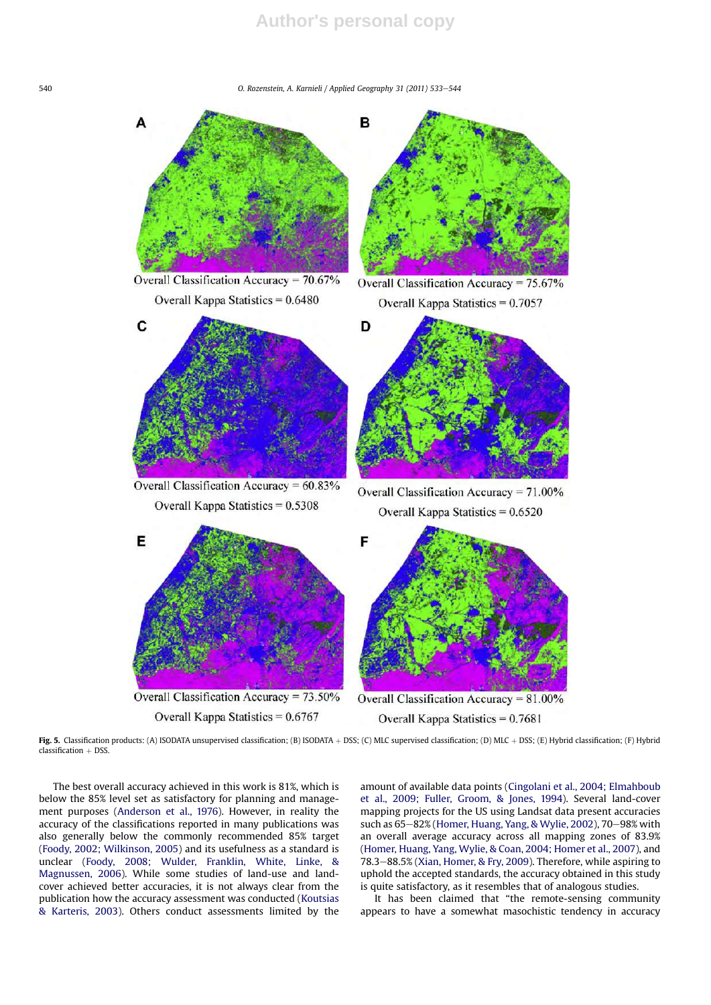540 **SAO SALL SERVIET CONSTRUCTED ACCOMPT** O. Rozenstein, A. Karnieli / Applied Geography 31 (2011) 533–544



Fig. 5. Classification products: (A) ISODATA unsupervised classification; (B) ISODATA + DSS; (C) MLC supervised classification; (D) MLC + DSS; (E) Hybrid classification; (F) Hybrid  $classification + DSS$ .

The best overall accuracy achieved in this work is 81%, which is below the 85% level set as satisfactory for planning and management purposes (Anderson et al., 1976). However, in reality the accuracy of the classifications reported in many publications was also generally below the commonly recommended 85% target (Foody, 2002; Wilkinson, 2005) and its usefulness as a standard is unclear (Foody, 2008; Wulder, Franklin, White, Linke, & Magnussen, 2006). While some studies of land-use and landcover achieved better accuracies, it is not always clear from the publication how the accuracy assessment was conducted (Koutsias & Karteris, 2003). Others conduct assessments limited by the amount of available data points (Cingolani et al., 2004; Elmahboub et al., 2009; Fuller, Groom, & Jones, 1994). Several land-cover mapping projects for the US using Landsat data present accuracies such as 65-82% (Homer, Huang, Yang, & Wylie, 2002), 70-98% with an overall average accuracy across all mapping zones of 83.9% (Homer, Huang, Yang, Wylie, & Coan, 2004; Homer et al., 2007), and 78.3-88.5% (Xian, Homer, & Fry, 2009). Therefore, while aspiring to uphold the accepted standards, the accuracy obtained in this study is quite satisfactory, as it resembles that of analogous studies.

It has been claimed that "the remote-sensing community appears to have a somewhat masochistic tendency in accuracy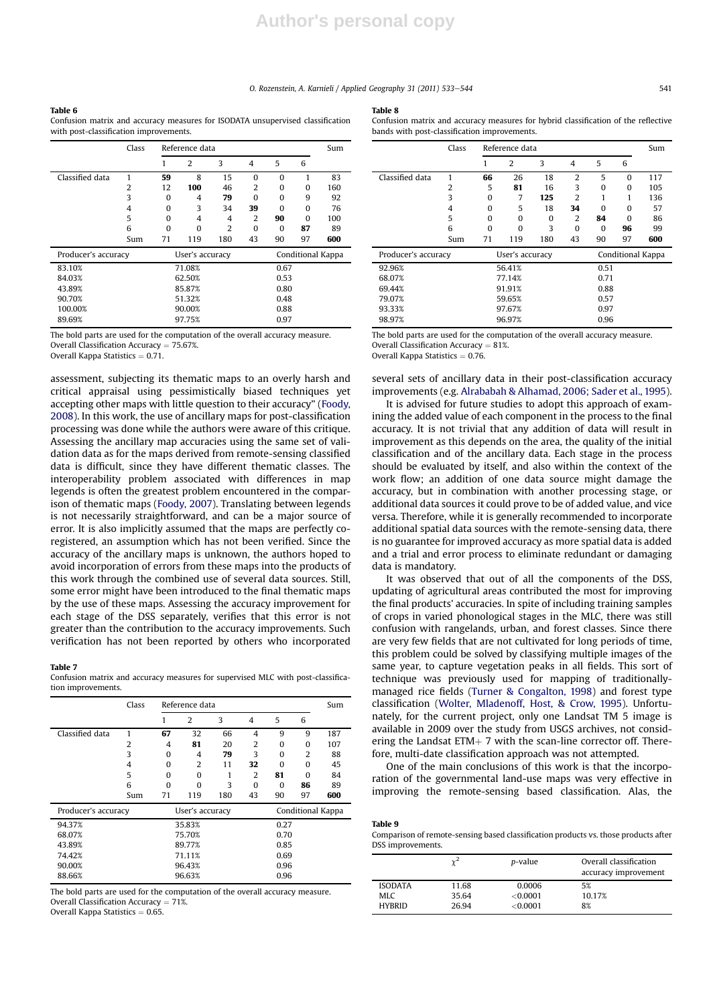#### Table 6

Confusion matrix and accuracy measures for ISODATA unsupervised classification with post-classification improvements.

#### Table 8

Confusion matrix and accuracy measures for hybrid classification of the reflective bands with post-classification improvements.

|                     | Class          | Reference data |                 |                |          | Sum      |    |                   |
|---------------------|----------------|----------------|-----------------|----------------|----------|----------|----|-------------------|
|                     |                | 1              | $\overline{2}$  | 3              | 4        | 5        | 6  |                   |
| Classified data     | 1              | 59             | 8               | 15             | $\Omega$ | $\Omega$ | 1  | 83                |
|                     | $\overline{2}$ | 12             | 100             | 46             | 2        | 0        | o  | 160               |
|                     | 3              | 0              | 4               | 79             | 0        | $\Omega$ | 9  | 92                |
|                     | 4              | 0              | 3               | 34             | 39       | O        | 0  | 76                |
|                     | 5              | 0              | 4               | 4              | 2        | 90       | O  | 100               |
|                     | 6              | O              | $\Omega$        | $\overline{2}$ | 0        | $\Omega$ | 87 | 89                |
|                     | Sum            | 71             | 119             | 180            | 43       | 90       | 97 | 600               |
| Producer's accuracy |                |                | User's accuracy |                |          |          |    | Conditional Kappa |
| 83.10%              |                |                | 71.08%          |                |          | 0.67     |    |                   |
| 84.03%              |                |                | 62.50%          |                |          | 0.53     |    |                   |
| 43.89%              |                |                | 85.87%          |                |          | 0.80     |    |                   |
| 90.70%              |                |                | 51.32%          |                |          | 0.48     |    |                   |
| 100.00%             |                |                | 90.00%          |                |          | 0.88     |    |                   |
| 89.69%              |                |                | 97.75%          |                |          | 0.97     |    |                   |

The bold parts are used for the computation of the overall accuracy measure. Overall Classification Accuracy =  $75.67%$ .

Overall Kappa Statistics  $= 0.71$ .

assessment, subjecting its thematic maps to an overly harsh and critical appraisal using pessimistically biased techniques yet accepting other maps with little question to their accuracy" (Foody, 2008). In this work, the use of ancillary maps for post-classification processing was done while the authors were aware of this critique. Assessing the ancillary map accuracies using the same set of validation data as for the maps derived from remote-sensing classified data is difficult, since they have different thematic classes. The interoperability problem associated with differences in map legends is often the greatest problem encountered in the comparison of thematic maps (Foody, 2007). Translating between legends is not necessarily straightforward, and can be a major source of error. It is also implicitly assumed that the maps are perfectly coregistered, an assumption which has not been verified. Since the accuracy of the ancillary maps is unknown, the authors hoped to avoid incorporation of errors from these maps into the products of this work through the combined use of several data sources. Still, some error might have been introduced to the final thematic maps by the use of these maps. Assessing the accuracy improvement for each stage of the DSS separately, verifies that this error is not greater than the contribution to the accuracy improvements. Such verification has not been reported by others who incorporated

#### Table 7

Confusion matrix and accuracy measures for supervised MLC with post-classification improvements.

|                     | Class          |          | Reference data  |     |                |          | Sum      |                   |
|---------------------|----------------|----------|-----------------|-----|----------------|----------|----------|-------------------|
|                     |                | 1        | 2               | 3   | 4              | 5        | 6        |                   |
| Classified data     | 1              | 67       | 32              | 66  | 4              | 9        | 9        | 187               |
|                     | $\overline{2}$ | 4        | 81              | 20  | 2              | $\Omega$ | $\Omega$ | 107               |
|                     | 3              | $\Omega$ | 4               | 79  | 3              | $\Omega$ | 2        | 88                |
|                     | 4              | $\Omega$ | $\overline{2}$  | 11  | 32             | O        | O        | 45                |
|                     | 5              | $\Omega$ | O               | 1   | $\overline{2}$ | 81       | O        | 84                |
|                     | 6              | $\Omega$ | ŋ               | 3   | $\Omega$       | O        | 86       | 89                |
|                     | Sum            | 71       | 119             | 180 | 43             | 90       | 97       | 600               |
| Producer's accuracy |                |          | User's accuracy |     |                |          |          | Conditional Kappa |
| 94.37%              |                |          | 35.83%          |     |                | 0.27     |          |                   |
| 68.07%              |                |          | 75.70%          |     |                | 0.70     |          |                   |
| 43.89%              |                |          | 89.77%<br>0.85  |     |                |          |          |                   |
| 74.42%              |                |          | 71.11%          |     |                | 0.69     |          |                   |
| 90.00%              |                |          | 96.43%          |     |                | 0.96     |          |                   |
| 88.66%              |                |          | 96.63%          |     |                | 0.96     |          |                   |

The bold parts are used for the computation of the overall accuracy measure. Overall Classification Accuracy  $= 71\%$ . Overall Kappa Statistics  $= 0.65$ .

|                     | Class |          | Reference data  |          |                |          |                   | Sum |
|---------------------|-------|----------|-----------------|----------|----------------|----------|-------------------|-----|
|                     |       | 1        | 2               | 3        | $\overline{4}$ | 5        | 6                 |     |
| Classified data     | 1     | 66       | 26              | 18       | 2              | 5        | $\Omega$          | 117 |
|                     | 2     | 5        | 81              | 16       | 3              | $\Omega$ | $\Omega$          | 105 |
|                     | 3     | $\Omega$ | 7               | 125      | $\overline{2}$ | 1        | 1                 | 136 |
|                     | 4     | $\Omega$ | 5               | 18       | 34             | $\Omega$ | $\Omega$          | 57  |
|                     | 5     | $\Omega$ | $\Omega$        | $\Omega$ | $\overline{2}$ | 84       | $\Omega$          | 86  |
|                     | 6     | $\Omega$ | $\Omega$        | 3        | $\Omega$       | $\Omega$ | 96                | 99  |
|                     | Sum   | 71       | 119             | 180      | 43             | 90       | 97                | 600 |
| Producer's accuracy |       |          | User's accuracy |          |                |          | Conditional Kappa |     |
| 92.96%              |       |          | 56.41%          |          |                | 0.51     |                   |     |
| 68.07%              |       |          | 77.14%          |          |                | 0.71     |                   |     |
| 69.44%              |       |          | 91.91%          |          |                | 0.88     |                   |     |
| 79.07%              |       |          | 59.65%          |          |                | 0.57     |                   |     |
| 93.33%              |       |          | 97.67%          |          |                | 0.97     |                   |     |
| 98.97%              |       |          | 96.97%          |          |                | 0.96     |                   |     |

The bold parts are used for the computation of the overall accuracy measure. Overall Classification Accuracy =  $81\%$ .

Overall Kappa Statistics  $= 0.76$ .

several sets of ancillary data in their post-classification accuracy improvements (e.g. Alrababah & Alhamad, 2006; Sader et al., 1995).

It is advised for future studies to adopt this approach of examining the added value of each component in the process to the final accuracy. It is not trivial that any addition of data will result in improvement as this depends on the area, the quality of the initial classification and of the ancillary data. Each stage in the process should be evaluated by itself, and also within the context of the work flow; an addition of one data source might damage the accuracy, but in combination with another processing stage, or additional data sources it could prove to be of added value, and vice versa. Therefore, while it is generally recommended to incorporate additional spatial data sources with the remote-sensing data, there is no guarantee for improved accuracy as more spatial data is added and a trial and error process to eliminate redundant or damaging data is mandatory.

It was observed that out of all the components of the DSS, updating of agricultural areas contributed the most for improving the final products' accuracies. In spite of including training samples of crops in varied phonological stages in the MLC, there was still confusion with rangelands, urban, and forest classes. Since there are very few fields that are not cultivated for long periods of time, this problem could be solved by classifying multiple images of the same year, to capture vegetation peaks in all fields. This sort of technique was previously used for mapping of traditionallymanaged rice fields (Turner & Congalton, 1998) and forest type classification (Wolter, Mladenoff, Host, & Crow, 1995). Unfortunately, for the current project, only one Landsat TM 5 image is available in 2009 over the study from USGS archives, not considering the Landsat ETM $+$  7 with the scan-line corrector off. Therefore, multi-date classification approach was not attempted.

One of the main conclusions of this work is that the incorporation of the governmental land-use maps was very effective in improving the remote-sensing based classification. Alas, the

|--|

Comparison of remote-sensing based classification products vs. those products after DSS improvements.

|                |       | <i>p</i> -value | Overall classification<br>accuracy improvement |
|----------------|-------|-----------------|------------------------------------------------|
| <b>ISODATA</b> | 11.68 | 0.0006          | 5%                                             |
| MLC.           | 35.64 | < 0.0001        | 10.17%                                         |
| <b>HYBRID</b>  | 26.94 | < 0.0001        | 8%                                             |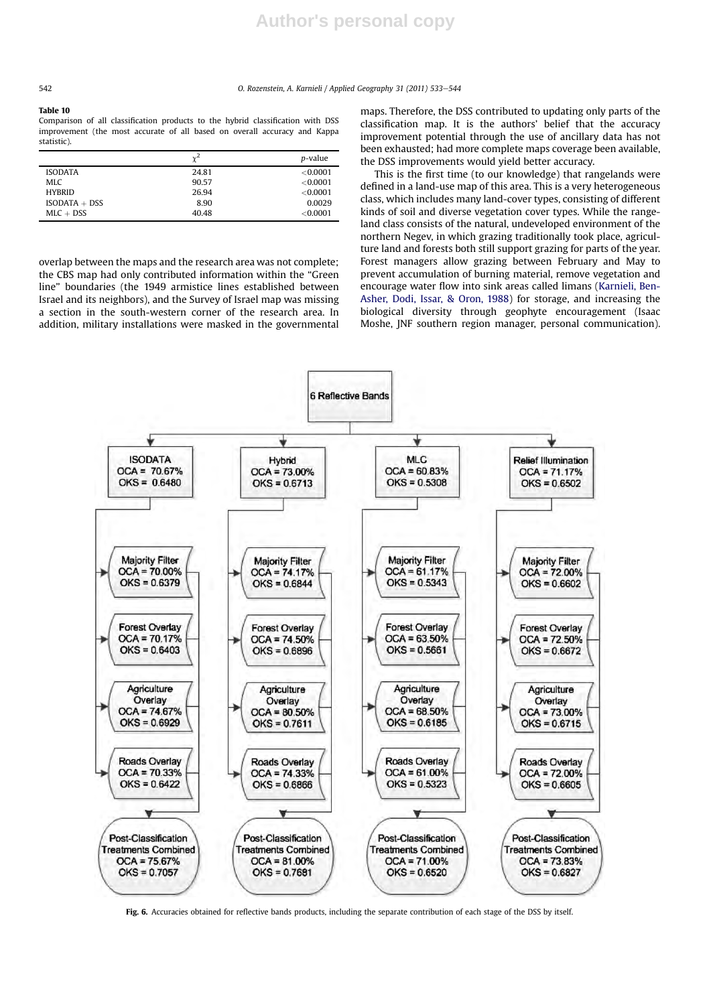#### Table 10

Comparison of all classification products to the hybrid classification with DSS improvement (the most accurate of all based on overall accuracy and Kappa statistic).

|                 | $\gamma^2$ | <i>p</i> -value |
|-----------------|------------|-----------------|
| <b>ISODATA</b>  | 24.81      | < 0.0001        |
| MLC.            | 90.57      | < 0.0001        |
| <b>HYBRID</b>   | 26.94      | < 0.0001        |
| $ISODATA + DSS$ | 8.90       | 0.0029          |
| $MLC + DSS$     | 40.48      | < 0.0001        |

overlap between the maps and the research area was not complete; the CBS map had only contributed information within the "Green line" boundaries (the 1949 armistice lines established between Israel and its neighbors), and the Survey of Israel map was missing a section in the south-western corner of the research area. In addition, military installations were masked in the governmental maps. Therefore, the DSS contributed to updating only parts of the classification map. It is the authors' belief that the accuracy improvement potential through the use of ancillary data has not been exhausted; had more complete maps coverage been available, the DSS improvements would yield better accuracy.

This is the first time (to our knowledge) that rangelands were defined in a land-use map of this area. This is a very heterogeneous class, which includes many land-cover types, consisting of different kinds of soil and diverse vegetation cover types. While the rangeland class consists of the natural, undeveloped environment of the northern Negev, in which grazing traditionally took place, agriculture land and forests both still support grazing for parts of the year. Forest managers allow grazing between February and May to prevent accumulation of burning material, remove vegetation and encourage water flow into sink areas called limans (Karnieli, Ben-Asher, Dodi, Issar, & Oron, 1988) for storage, and increasing the biological diversity through geophyte encouragement (Isaac Moshe, JNF southern region manager, personal communication).



Fig. 6. Accuracies obtained for reflective bands products, including the separate contribution of each stage of the DSS by itself.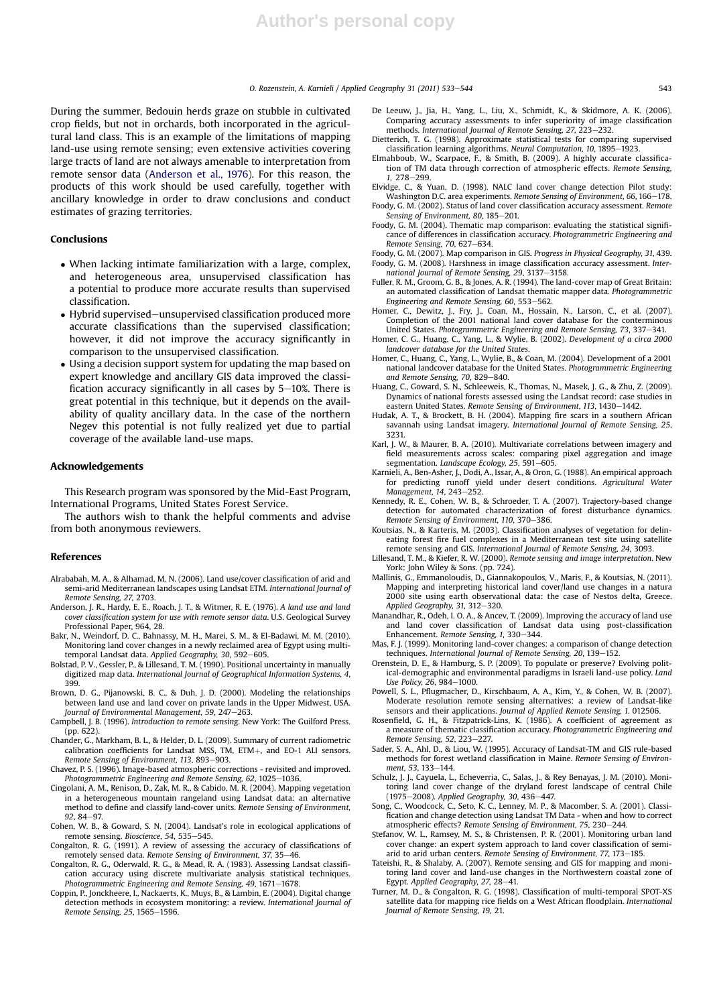O. Rozenstein, A. Karnieli / Applied Geography 31 (2011) 533–544 543

During the summer, Bedouin herds graze on stubble in cultivated crop fields, but not in orchards, both incorporated in the agricultural land class. This is an example of the limitations of mapping land-use using remote sensing; even extensive activities covering large tracts of land are not always amenable to interpretation from remote sensor data (Anderson et al., 1976). For this reason, the products of this work should be used carefully, together with ancillary knowledge in order to draw conclusions and conduct estimates of grazing territories.

#### Conclusions

- When lacking intimate familiarization with a large, complex, and heterogeneous area, unsupervised classification has a potential to produce more accurate results than supervised classification.
- Hybrid supervised-unsupervised classification produced more accurate classifications than the supervised classification; however, it did not improve the accuracy significantly in comparison to the unsupervised classification.
- Using a decision support system for updating the map based on expert knowledge and ancillary GIS data improved the classification accuracy significantly in all cases by  $5-10%$ . There is great potential in this technique, but it depends on the availability of quality ancillary data. In the case of the northern Negev this potential is not fully realized yet due to partial coverage of the available land-use maps.

#### Acknowledgements

This Research program was sponsored by the Mid-East Program, International Programs, United States Forest Service.

The authors wish to thank the helpful comments and advise from both anonymous reviewers.

#### References

- Alrababah, M. A., & Alhamad, M. N. (2006). Land use/cover classification of arid and semi-arid Mediterranean landscapes using Landsat ETM. International Journal of Remote Sensing, 27, 2703.
- Anderson, J. R., Hardy, E. E., Roach, J. T., & Witmer, R. E. (1976). A land use and land cover classification system for use with remote sensor data. U.S. Geological Survey Professional Paper, 964, 28.
- Bakr, N., Weindorf, D. C., Bahnassy, M. H., Marei, S. M., & El-Badawi, M. M. (2010). Monitoring land cover changes in a newly reclaimed area of Egypt using multitemporal Landsat data. Applied Geography, 30, 592-605.
- Bolstad, P. V., Gessler, P., & Lillesand, T. M. (1990). Positional uncertainty in manually digitized map data. International Journal of Geographical Information Systems, 4, 399.
- Brown, D. G., Pijanowski, B. C., & Duh, J. D. (2000). Modeling the relationships between land use and land cover on private lands in the Upper Midwest, USA. Journal of Environmental Management, 59, 247-263.
- Campbell, J. B. (1996). Introduction to remote sensing. New York: The Guilford Press.  $(np 622)$
- Chander, G., Markham, B. L., & Helder, D. L. (2009). Summary of current radiometric calibration coefficients for Landsat MSS, TM, ETM $+$ , and EO-1 ALI sensors. Remote Sensing of Environment, 113, 893-903.
- Chavez, P. S. (1996). Image-based atmospheric corrections revisited and improved. Photogrammetric Engineering and Remote Sensing, 62, 1025-1036.
- Cingolani, A. M., Renison, D., Zak, M. R., & Cabido, M. R. (2004). Mapping vegetation in a heterogeneous mountain rangeland using Landsat data: an alternative method to define and classify land-cover units. Remote Sensing of Environment, 92, 84-97.
- Cohen, W. B., & Goward, S. N. (2004). Landsat's role in ecological applications of remote sensing. Bioscience, 54, 535-545.
- Congalton, R. G. (1991). A review of assessing the accuracy of classifications of
- remotely sensed data. Remote Sensing of Environment, 37, 35–46.<br>Congalton, R. G., Oderwald, R. G., & Mead, R. A. (1983). Assessing Landsat classification accuracy using discrete multivariate analysis statistical techniques. Photogrammetric Engineering and Remote Sensing, 49, 1671-1678.
- Coppin, P., Jonckheere, I., Nackaerts, K., Muys, B., & Lambin, E. (2004). Digital change detection methods in ecosystem monitoring: a review. International Journal of Remote Sensing, 25, 1565-1596.
- De Leeuw, J., Jia, H., Yang, L., Liu, X., Schmidt, K., & Skidmore, A. K. (2006). Comparing accuracy assessments to infer superiority of image classification methods. International Journal of Remote Sensing, 27, 223-232.
- Dietterich, T. G. (1998). Approximate statistical tests for comparing supervised classification learning algorithms. Neural Computation, 10, 1895–1923.<br>Elmahboub, W., Scarpace, F., & Smith, B. (2009). A highly accurate classifica-
- tion of TM data through correction of atmospheric effects. Remote Sensing, 1, 278-299.
- Elvidge, C., & Yuan, D. (1998). NALC land cover change detection Pilot study: Washington D.C. area experiments. Remote Sensing of Environment, 66, 166-178. Foody, G. M. (2002). Status of land cover classification accuracy assessment. Remote
- Sensing of Environment, 80, 185-201. Foody, G. M. (2004). Thematic map comparison: evaluating the statistical signifi-
- cance of differences in classification accuracy. Photogrammetric Engineering and Remote Sensing, 70, 627-634.
- Foody, G. M. (2007). Map comparison in GIS. Progress in Physical Geography, 31, 439. Foody, G. M. (2008). Harshness in image classification accuracy assessment. International Journal of Remote Sensing, 29, 3137-3158.
- Fuller, R. M., Groom, G. B., & Jones, A. R. (1994). The land-cover map of Great Britain: an automated classification of Landsat thematic mapper data. Photogrammetric Engineering and Remote Sensing, 60, 553-562.
- Homer, C., Dewitz, J., Fry, J., Coan, M., Hossain, N., Larson, C., et al. (2007). Completion of the 2001 national land cover database for the conterminous
- United States. Photogrammetric Engineering and Remote Sensing, 73, 337–341.<br>Homer, C. G., Huang, C., Yang, L., & Wylie, B. (2002). Development of a circa 2000 landcover database for the United States.
- Homer, C., Huang, C., Yang, L., Wylie, B., & Coan, M. (2004). Development of a 2001 national landcover database for the United States. Photogrammetric Engineering and Remote Sensing, 70, 829-840.
- Huang, C., Goward, S. N., Schleeweis, K., Thomas, N., Masek, J. G., & Zhu, Z. (2009). Dynamics of national forests assessed using the Landsat record: case studies in eastern United States. Remote Sensing of Environment, 113, 1430–1442.
- Hudak, A. T., & Brockett, B. H. (2004). Mapping fire scars in a southern African savannah using Landsat imagery. International Journal of Remote Sensing, 25, 3231.
- Karl, J. W., & Maurer, B. A. (2010). Multivariate correlations between imagery and field measurements across scales: comparing pixel aggregation and image segmentation. Landscape Ecology, 25, 591-605.
- Karnieli, A., Ben-Asher, J., Dodi, A., Issar, A., & Oron, G. (1988). An empirical approach for predicting runoff yield under desert conditions. Agricultural Water Management, 14, 243-252.
- Kennedy, R. E., Cohen, W. B., & Schroeder, T. A. (2007). Trajectory-based change detection for automated characterization of forest disturbance dynamics. Remote Sensing of Environment, 110, 370-386.
- Koutsias, N., & Karteris, M. (2003). Classification analyses of vegetation for delineating forest fire fuel complexes in a Mediterranean test site using satellite remote sensing and GIS. International Journal of Remote Sensing, 24, 3093.
- Lillesand, T. M., & Kiefer, R. W. (2000). Remote sensing and image interpretation. New York: John Wiley & Sons. (pp. 724).
- Mallinis, G., Emmanoloudis, D., Giannakopoulos, V., Maris, F., & Koutsias, N. (2011). Mapping and interpreting historical land cover/land use changes in a natura 2000 site using earth observational data: the case of Nestos delta, Greece. Applied Geography, 31, 312-320.
- Manandhar, R., Odeh, I. O. A., & Ancev, T. (2009). Improving the accuracy of land use and land cover classification of Landsat data using post-classification<br>Enhancement. Remote Sensing, 1, 330–344.
- Mas, F. J. (1999). Monitoring land-cover changes: a comparison of change detection techniques. International Journal of Remote Sensing, 20, 139-152.
- Orenstein, D. E., & Hamburg, S. P. (2009). To populate or preserve? Evolving political-demographic and environmental paradigms in Israeli land-use policy. Land Use Policy, 26, 984-1000.
- Powell, S. L., Pflugmacher, D., Kirschbaum, A. A., Kim, Y., & Cohen, W. B. (2007). Moderate resolution remote sensing alternatives: a review of Landsat-like sensors and their applications. Journal of Applied Remote Sensing, 1. 012506.
- Rosenfield, G. H., & Fitzpatrick-Lins, K. (1986). A coefficient of agreement as a measure of thematic classification accuracy. Photogrammetric Engineering and Remote Sensing, 52, 223-227.
- Sader, S. A., Ahl, D., & Liou, W. (1995). Accuracy of Landsat-TM and GIS rule-based methods for forest wetland classification in Maine. Remote Sensing of Environment, 53, 133-144.
- Schulz, J. J., Cayuela, L., Echeverria, C., Salas, J., & Rey Benayas, J. M. (2010). Monitoring land cover change of the dryland forest landscape of central Chile (1975-2008). Applied Geography, 30, 436-447.
- Song, C., Woodcock, C., Seto, K. C., Lenney, M. P., & Macomber, S. A. (2001). Classification and change detection using Landsat TM Data - when and how to correct atmospheric effects? Remote Sensing of Environment, 75, 230-244.
- Stefanov, W. L., Ramsey, M. S., & Christensen, P. R. (2001). Monitoring urban land cover change: an expert system approach to land cover classification of semiarid to arid urban centers. Remote Sensing of Environment, 77, 173-185.
- Tateishi, R., & Shalaby, A. (2007). Remote sensing and GIS for mapping and monitoring land cover and land-use changes in the Northwestern coastal zone of Egypt. Applied Geography, 27, 28-41.
- Turner, M. D., & Congalton, R. G. (1998). Classification of multi-temporal SPOT-XS satellite data for mapping rice fields on a West African floodplain. International Journal of Remote Sensing, 19, 21.